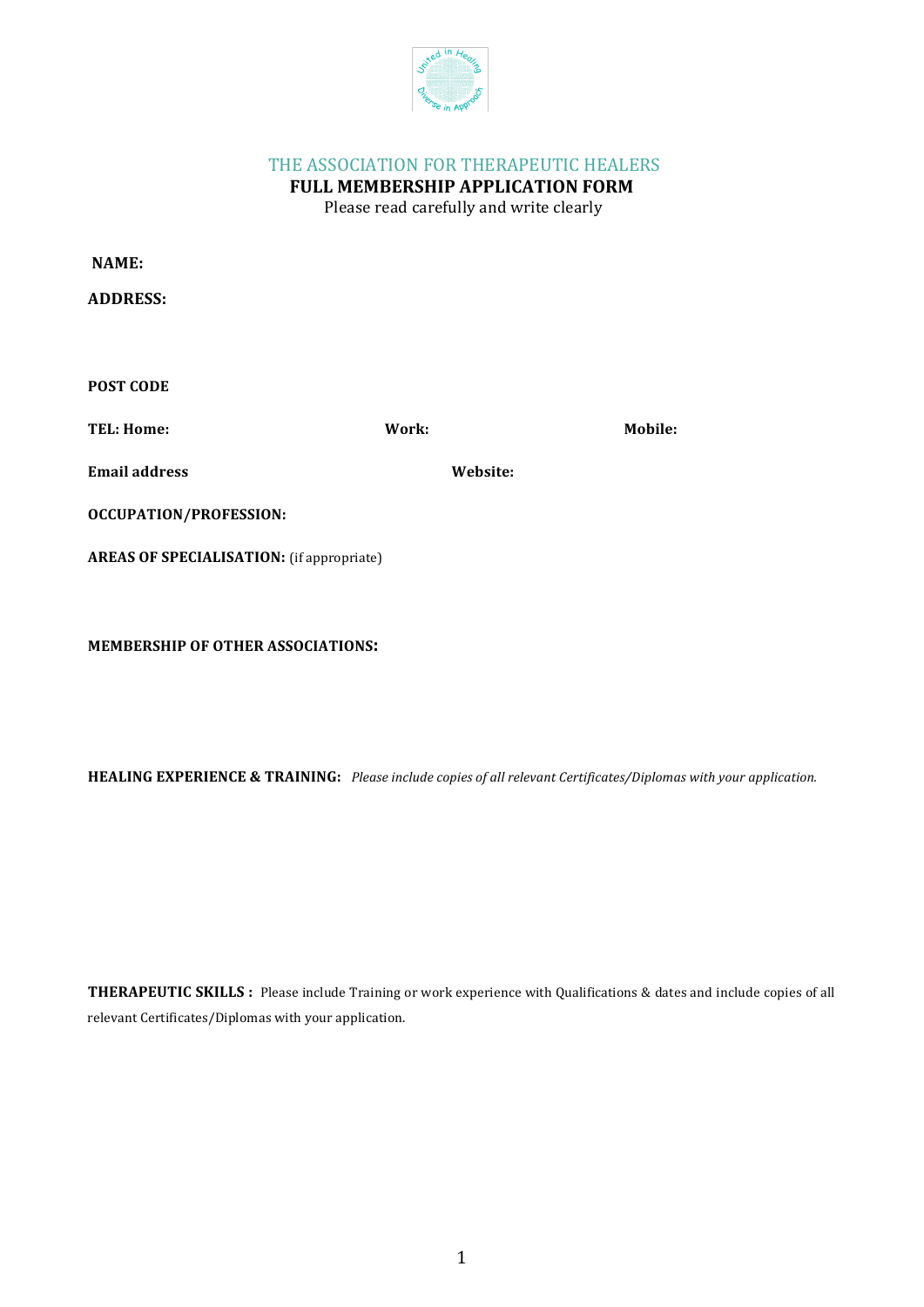

# THE ASSOCIATION FOR THERAPEUTIC HEALERS

**FULL MEMBERSHIP APPLICATION FORM** Please read carefully and write clearly

| <b>NAME:</b>                                     |          |         |
|--------------------------------------------------|----------|---------|
| <b>ADDRESS:</b>                                  |          |         |
|                                                  |          |         |
| <b>POST CODE</b>                                 |          |         |
| <b>TEL: Home:</b>                                | Work:    | Mobile: |
| <b>Email address</b>                             | Website: |         |
| <b>OCCUPATION/PROFESSION:</b>                    |          |         |
| <b>AREAS OF SPECIALISATION:</b> (if appropriate) |          |         |

**MEMBERSHIP OF OTHER ASSOCIATIONS:** 

**HEALING EXPERIENCE & TRAINING:** Please include copies of all relevant Certificates/Diplomas with your application.

**THERAPEUTIC SKILLS**: Please include Training or work experience with Qualifications & dates and include copies of all relevant Certificates/Diplomas with your application.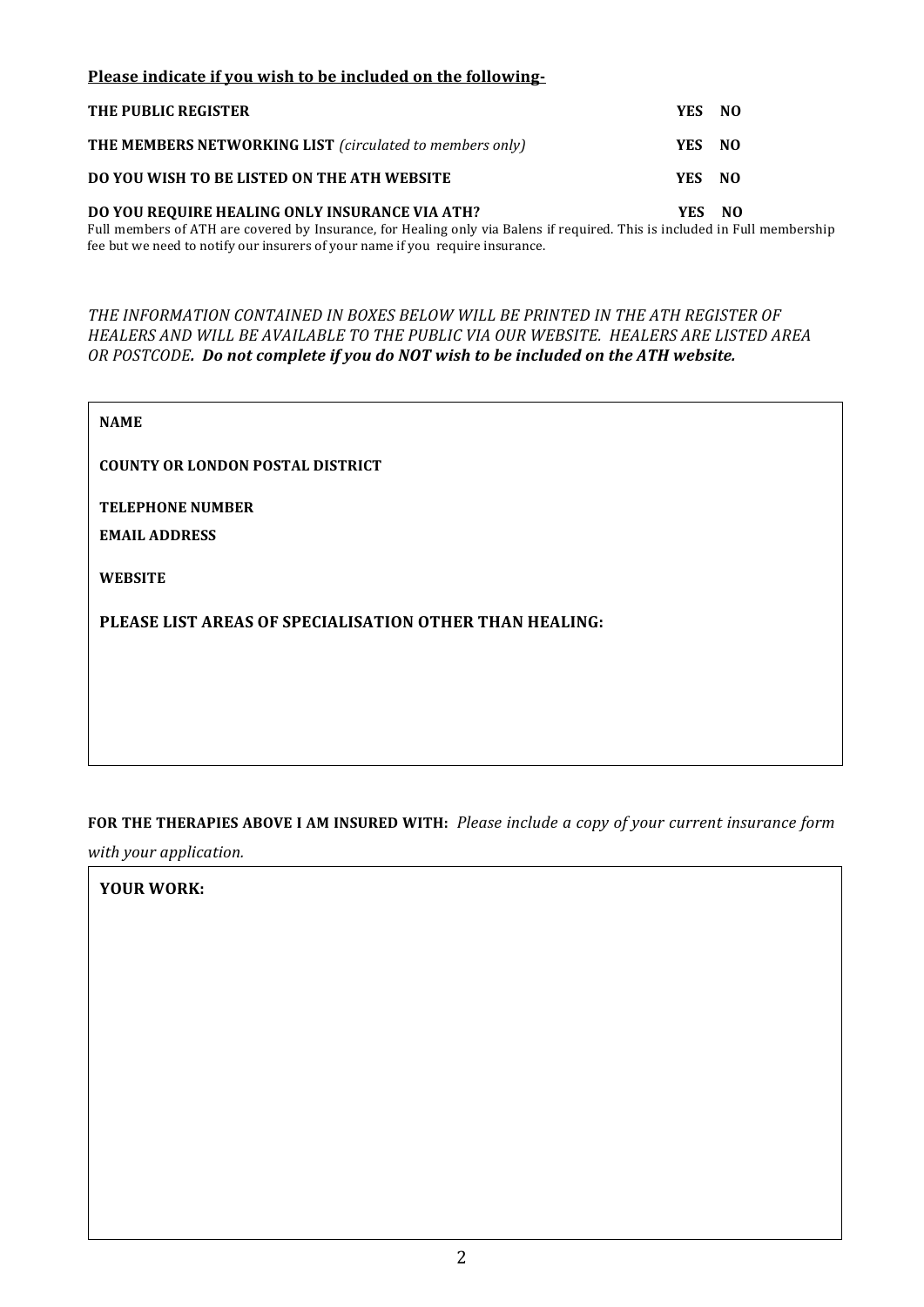### Please indicate if you wish to be included on the following-

| THE PUBLIC REGISTER                                      | YES NO |      |
|----------------------------------------------------------|--------|------|
| THE MEMBERS NETWORKING LIST (circulated to members only) | YES NO |      |
| DO YOU WISH TO BE LISTED ON THE ATH WEBSITE              | YES NO |      |
| DO YOU REQUIRE HEALING ONLY INSURANCE VIA ATH?           | YES.   | - NO |

Full members of ATH are covered by Insurance, for Healing only via Balens if required. This is included in Full membership fee but we need to notify our insurers of your name if you require insurance.

#### THE INFORMATION CONTAINED IN BOXES BELOW WILL BE PRINTED IN THE ATH REGISTER OF *HEALERS AND WILL BE AVAILABLE TO THE PUBLIC VIA OUR WEBSITE. HEALERS ARE LISTED AREA OR POSTCODE.* Do not complete if you do NOT wish to be included on the ATH website.

| <b>NAME</b>                                             |
|---------------------------------------------------------|
| <b>COUNTY OR LONDON POSTAL DISTRICT</b>                 |
| <b>TELEPHONE NUMBER</b>                                 |
| <b>EMAIL ADDRESS</b>                                    |
| <b>WEBSITE</b>                                          |
| PLEASE LIST AREAS OF SPECIALISATION OTHER THAN HEALING: |
|                                                         |
|                                                         |

# FOR THE THERAPIES ABOVE I AM INSURED WITH: Please include a copy of your current insurance form

*with your application.*

# YOUR WORK: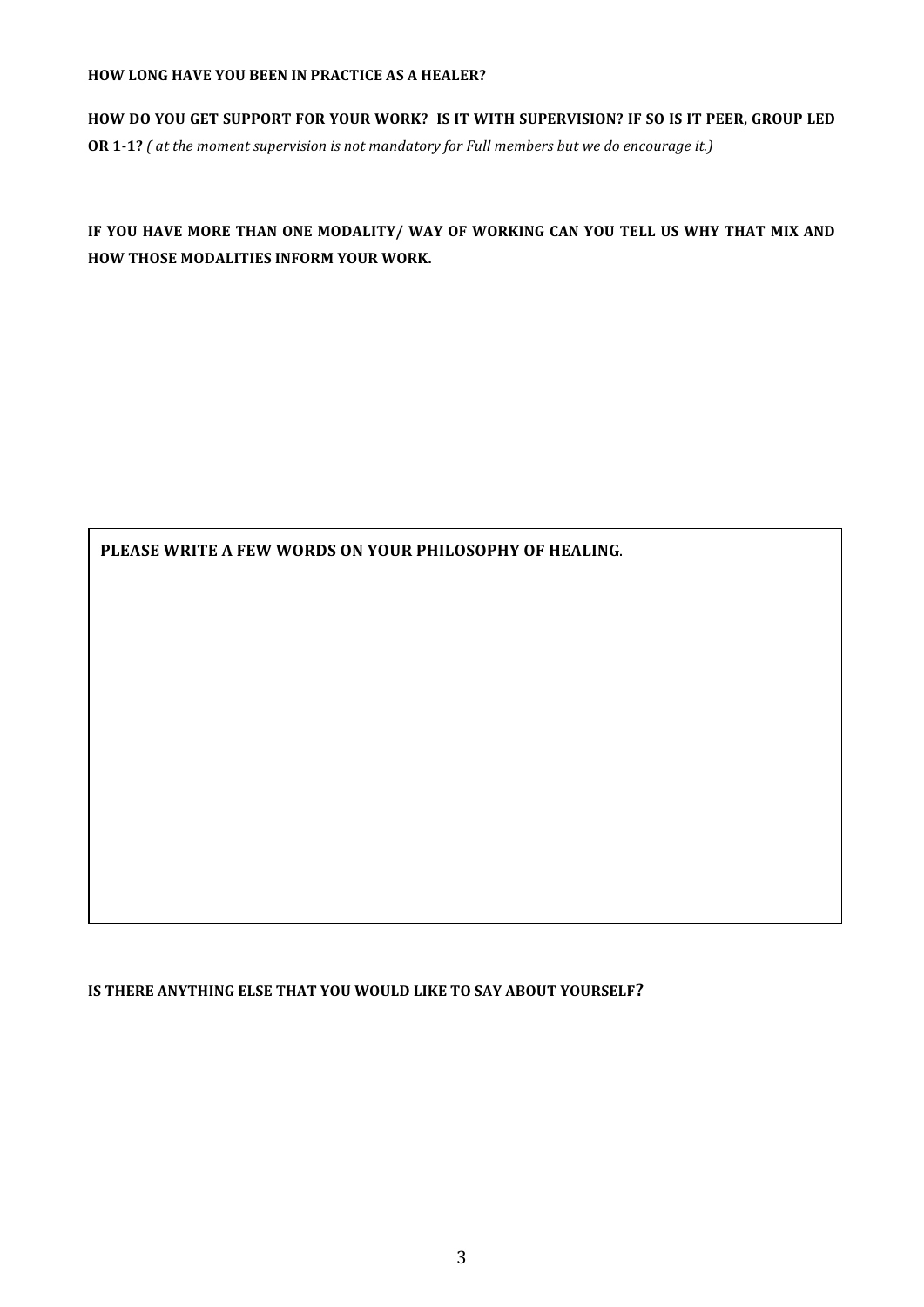#### **HOW LONG HAVE YOU BEEN IN PRACTICE AS A HEALER?**

HOW DO YOU GET SUPPORT FOR YOUR WORK? IS IT WITH SUPERVISION? IF SO IS IT PEER, GROUP LED **OR 1-1?** (at the moment supervision is not mandatory for Full members but we do encourage it.)

IF YOU HAVE MORE THAN ONE MODALITY/ WAY OF WORKING CAN YOU TELL US WHY THAT MIX AND **HOW THOSE MODALITIES INFORM YOUR WORK.** 

PLEASE WRITE A FEW WORDS ON YOUR PHILOSOPHY OF HEALING.

**IS THERE ANYTHING ELSE THAT YOU WOULD LIKE TO SAY ABOUT YOURSELF?**